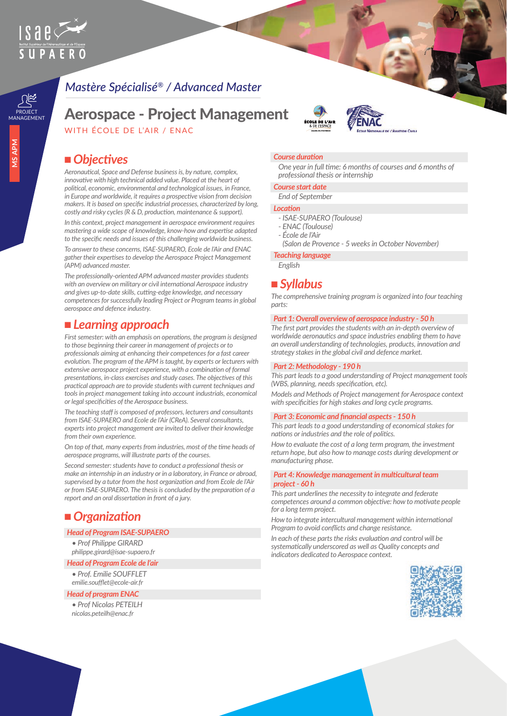

# *Mastère Spécialisé® / Advanced Master*

# **Aerospace - Project Management**

WITH ÉCOLE DE L'AIR / ENAC

# ■ *Objectives*

*Aeronautical, Space and Defense business is, by nature, complex, innovative with high technical added value. Placed at the heart of political, economic, environmental and technological issues, in France, in Europe and worldwide, it requires a prospective vision from decision makers. It is based on specific industrial processes, characterized by long, costly and risky cycles (R & D, production, maintenance & support).*

*In this context, project management in aerospace environment requires mastering a wide scope of knowledge, know-how and expertise adapted to the specific needs and issues of this challenging worldwide business.*

*To answer to these concerns, ISAE-SUPAERO, Ecole de l'Air and ENAC gather their expertises to develop the Aerospace Project Management (APM) advanced master.*

*The professionally-oriented APM advanced master provides students with an overview on military or civil international Aerospace industry and gives up-to-date skills, cutting-edge knowledge, and necessary competences for successfully leading Project or Program teams in global aerospace and defence industry.*

## ■ *Learning approach*

*First semester: with an emphasis on operations, the program is designed to those beginning their career in management of projects or to professionals aiming at enhancing their competences for a fast career evolution. The program of the APM is taught, by experts or lecturers with extensive aerospace project experience, with a combination of formal presentations, in-class exercises and study cases. The objectives of this practical approach are to provide students with current techniques and tools in project management taking into account industrials, economical or legal specificities of the Aerospace business.*

*The teaching staff is composed of professors, lecturers and consultants from ISAE-SUPAERO and Ecole de l'Air (CReA). Several consultants, experts into project management are invited to deliver their knowledge from their own experience.*

*On top of that, many experts from industries, most of the time heads of aerospace programs, will illustrate parts of the courses.*

*Second semester: students have to conduct a professional thesis or make an internship in an industry or in a laboratory, in France or abroad, supervised by a tutor from the host organization and from Ecole de l'Air or from ISAE-SUPAERO. The thesis is concluded by the preparation of a report and an oral dissertation in front of a jury.*

# ■ *Organization*

### *Head of Program ISAE-SUPAERO*

*• Prof Philippe GIRARD philippe.girard@isae-supaero.fr*

*Head of Program Ecole de l'air* 

*• Prof. Emilie SOUFFLET emilie.soufflet@ecole-air.fr*

### *Head of program ENAC*

*• Prof Nicolas PETEILH nicolas.peteilh@enac.fr*

# *Course duration*

*One year in full time: 6 months of courses and 6 months of professional thesis or internship*

#### *Course start date*

*End of September*

#### *Location*

- *ISAE-SUPAERO (Toulouse)*
- *ENAC (Toulouse)*
- *École de l'Air*
- *(Salon de Provence 5 weeks in October November)*

#### *Teaching language*

*English*

## <sup>n</sup> *Syllabus*

*The comprehensive training program is organized into four teaching parts:*

#### *Part 1: Overall overview of aerospace industry - 50 h*

*The first part provides the students with an in-depth overview of worldwide aeronautics and space industries enabling them to have an overall understanding of technologies, products, innovation and strategy stakes in the global civil and defence market.*

#### *Part 2: Methodology - 190 h*

*This part leads to a good understanding of Project management tools (WBS, planning, needs specification, etc).*

*Models and Methods of Project management for Aerospace context with specificities for high stakes and long cycle programs.*

#### *Part 3: Economic and financial aspects - 150 h*

*This part leads to a good understanding of economical stakes for nations or industries and the role of politics.*

*How to evaluate the cost of a long term program, the investment return hope, but also how to manage costs during development or manufacturing phase.*

#### *Part 4: Knowledge management in multicultural team project - 60 h*

*This part underlines the necessity to integrate and federate competences around a common objective: how to motivate people for a long term project.*

*How to integrate intercultural management within international Program to avoid conflicts and change resistance.*

*In each of these parts the risks evaluation and control will be systematically underscored as well as Quality concepts and indicators dedicated to Aerospace context.*

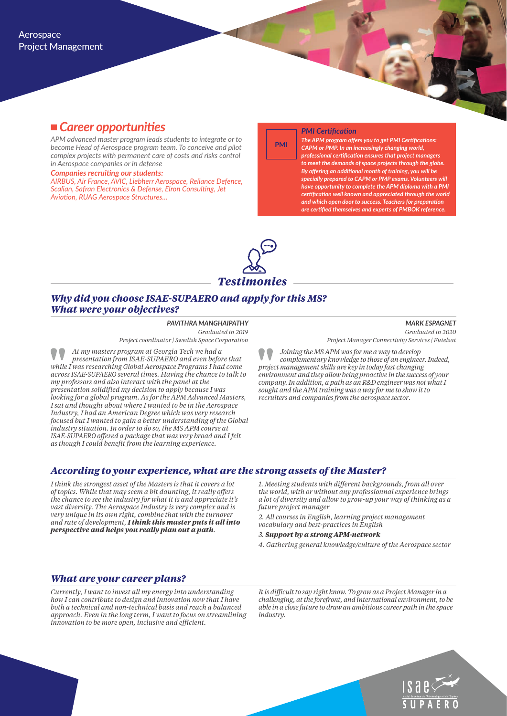# <sup>n</sup> *Career opportunities*

*APM advanced master program leads students to integrate or to become Head of Aerospace program team. To conceive and pilot complex projects with permanent care of costs and risks control in Aerospace companies or in defense* 

*Companies recruiting our students:*

*AIRBUS, Air France, AVIC, Liebherr Aerospace, Reliance Defence, Scalian, Safran Electronics & Defense, Elron Consulting, Jet Aviation, RUAG Aerospace Structures…*

#### *PMI Certification*

**PMI**

*The APM program offers you to get PMI Certifications: CAPM or PMP. In an increasingly changing world, professional certification ensures that project managers to meet the demands of space projects through the globe. By offering an additional month of training, you will be specially prepared to CAPM or PMP exams. Volunteers will have opportunity to complete the APM diploma with a PMI certification well known and appreciated through the world and which open door to success. Teachers for preparation are certified themselves and experts of PMBOK reference.*



### *Why did you choose ISAE-SUPAERO and apply for this MS? What were your objectives?*

*PAVITHRA MANGHAIPATHY Graduated in 2019 Project coordinator | Swedish Space Corporation*

*At my masters program at Georgia Tech we had a presentation from ISAE-SUPAERO and even before that while I was researching Global Aerospace Programs I had come across ISAE-SUPAERO several times. Having the chance to talk to my professors and also interact with the panel at the presentation solidified my decision to apply because I was looking for a global program. As for the APM Advanced Masters, I sat and thought about where I wanted to be in the Aerospace Industry, I had an American Degree which was very research focused but I wanted to gain a better understanding of the Global industry situation. In order to do so, the MS APM course at ISAE-SUPAERO offered a package that was very broad and I felt as though I could benefit from the learning experience.*

*MARK ESPAGNET Graduated in 2020 Project Manager Connectivity Services | Eutelsat*

*Joining the MS APM was for me a way to develop complementary knowledge to those of an engineer. Indeed, project management skills are key in today fast changing environment and they allow being proactive in the success of your company. In addition, a path as an R&D engineer was not what I sought and the APM training was a way for me to show it to recruiters and companies from the aerospace sector.*

### *According to your experience, what are the strong assets of the Master?*

*I think the strongest asset of the Masters is that it covers a lot of topics. While that may seem a bit daunting, it really offers the chance to see the industry for what it is and appreciate it's vast diversity. The Aerospace Industry is very complex and is very unique in its own right, combine that with the turnover and rate of development, I think this master puts it all into perspective and helps you really plan out a path.* 

*1. Meeting students with different backgrounds, from all over the world, with or without any professionnal experience brings a lot of diversity and allow to grow-up your way of thinking as a future project manager*

*2. All courses in English, learning project management vocabulary and best-practices in English*

*3. Support by a strong APM-network*

*4. Gathering general knowledge/culture of the Aerospace sector*

#### *What are your career plans?*

*Currently, I want to invest all my energy into understanding how I can contribute to design and innovation now that I have both a technical and non-technical basis and reach a balanced approach. Even in the long term, I want to focus on streamlining innovation to be more open, inclusive and efficient.* 

*It is difficult to say right know. To grow as a Project Manager in a challenging, at the forefront, and international environment, to be able in a close future to draw an ambitious career path in the space industry.*